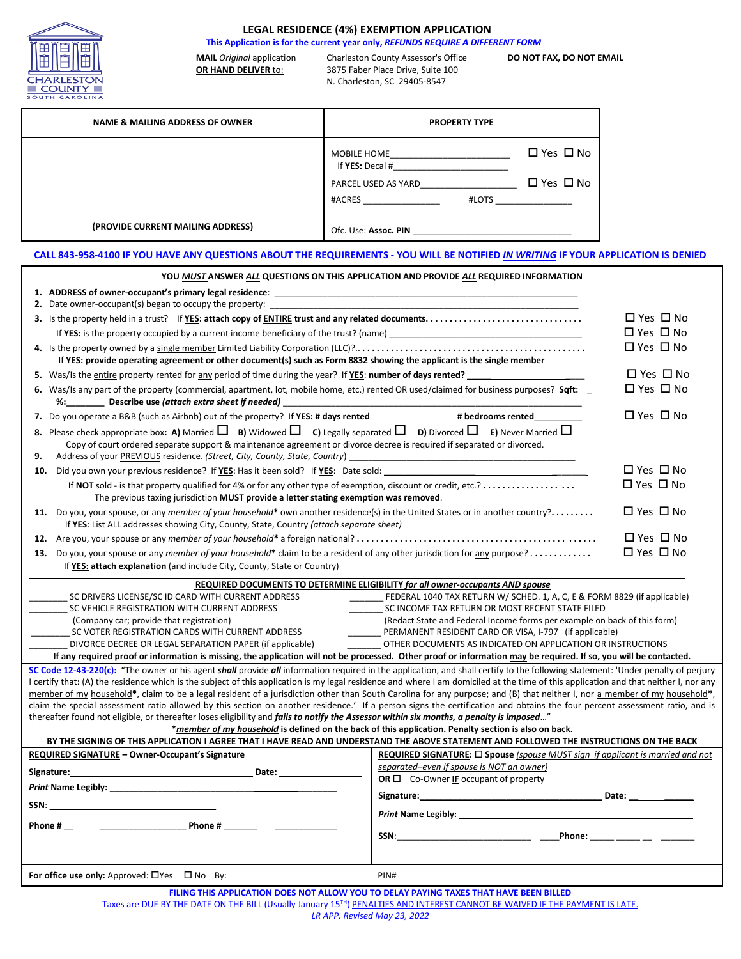# **CHARLESTON**

 $\overline{a}$ 

# **LEGAL RESIDENCE (4%) EXEMPTION APPLICATION This Application is for the current year only,** *REFUNDS REQUIRE A DIFFERENT FORM*

**MAIL** *Original* application Charleston County Assessor's Office **DO NOT FAX, DO NOT EMAIL**<br>**OR HAND DELIVER** to: 3875 Faber Place Drive, Suite 100 3875 Faber Place Drive, Suite 100 N. Charleston, SC 29405-8547

| <b>NAME &amp; MAILING ADDRESS OF OWNER</b> | <b>PROPERTY TYPE</b>                   |                      |  |
|--------------------------------------------|----------------------------------------|----------------------|--|
|                                            | <b>MOBILE HOME</b><br>If YES: Decal #  | $\Box$ Yes $\Box$ No |  |
|                                            | PARCEL USED AS YARD<br>#LOTS<br>#ACRES | $\Box$ Yes $\Box$ No |  |
| (PROVIDE CURRENT MAILING ADDRESS)          | Ofc. Use: Assoc. PIN                   |                      |  |

# **CALL 843-958-4100 IF YOU HAVE ANY QUESTIONS ABOUT THE REQUIREMENTS - YOU WILL BE NOTIFIED** *IN WRITING* **IF YOUR APPLICATION IS DENIED**

| YOU MUST ANSWER ALL QUESTIONS ON THIS APPLICATION AND PROVIDE ALL REQUIRED INFORMATION                                                                                                                                                                                                                                                                                                                                                                                                                                                                                                                                                                                                                                                                                                                                                                                                                                                                                                                                                                                                                                                       |                                                                                                                                                                                                                               |  |  |  |
|----------------------------------------------------------------------------------------------------------------------------------------------------------------------------------------------------------------------------------------------------------------------------------------------------------------------------------------------------------------------------------------------------------------------------------------------------------------------------------------------------------------------------------------------------------------------------------------------------------------------------------------------------------------------------------------------------------------------------------------------------------------------------------------------------------------------------------------------------------------------------------------------------------------------------------------------------------------------------------------------------------------------------------------------------------------------------------------------------------------------------------------------|-------------------------------------------------------------------------------------------------------------------------------------------------------------------------------------------------------------------------------|--|--|--|
|                                                                                                                                                                                                                                                                                                                                                                                                                                                                                                                                                                                                                                                                                                                                                                                                                                                                                                                                                                                                                                                                                                                                              |                                                                                                                                                                                                                               |  |  |  |
| 2. Date owner-occupant(s) began to occupy the property:                                                                                                                                                                                                                                                                                                                                                                                                                                                                                                                                                                                                                                                                                                                                                                                                                                                                                                                                                                                                                                                                                      |                                                                                                                                                                                                                               |  |  |  |
|                                                                                                                                                                                                                                                                                                                                                                                                                                                                                                                                                                                                                                                                                                                                                                                                                                                                                                                                                                                                                                                                                                                                              | $\Box$ Yes $\Box$ No                                                                                                                                                                                                          |  |  |  |
| If YES: is the property occupied by a current income beneficiary of the trust? (name)                                                                                                                                                                                                                                                                                                                                                                                                                                                                                                                                                                                                                                                                                                                                                                                                                                                                                                                                                                                                                                                        | $\Box$ Yes $\Box$ No                                                                                                                                                                                                          |  |  |  |
| If YES: provide operating agreement or other document(s) such as Form 8832 showing the applicant is the single member                                                                                                                                                                                                                                                                                                                                                                                                                                                                                                                                                                                                                                                                                                                                                                                                                                                                                                                                                                                                                        | $\Box$ Yes $\Box$ No                                                                                                                                                                                                          |  |  |  |
| 5. Was/Is the entire property rented for any period of time during the year? If YES: number of days rented?                                                                                                                                                                                                                                                                                                                                                                                                                                                                                                                                                                                                                                                                                                                                                                                                                                                                                                                                                                                                                                  | $\Box$ Yes $\Box$ No                                                                                                                                                                                                          |  |  |  |
| 6. Was/Is any part of the property (commercial, apartment, lot, mobile home, etc.) rented OR used/claimed for business purposes? Sqft:<br>%: Describe use (attach extra sheet if needed)                                                                                                                                                                                                                                                                                                                                                                                                                                                                                                                                                                                                                                                                                                                                                                                                                                                                                                                                                     | □ Yes □ No                                                                                                                                                                                                                    |  |  |  |
| 7. Do you operate a B&B (such as Airbnb) out of the property? If YES: # days rented________________# bedrooms rented_________                                                                                                                                                                                                                                                                                                                                                                                                                                                                                                                                                                                                                                                                                                                                                                                                                                                                                                                                                                                                                | $\Box$ Yes $\Box$ No                                                                                                                                                                                                          |  |  |  |
| 8. Please check appropriate box: A) Married $\Box$ B) Widowed $\Box$ C) Legally separated $\Box$ D) Divorced $\Box$ E) Never Married $\Box$<br>Copy of court ordered separate support & maintenance agreement or divorce decree is required if separated or divorced.<br>Address of your PREVIOUS residence. (Street, City, County, State, Country)<br>9.                                                                                                                                                                                                                                                                                                                                                                                                                                                                                                                                                                                                                                                                                                                                                                                    |                                                                                                                                                                                                                               |  |  |  |
| 10. Did you own your previous residence? If YES: Has it been sold? If YES: Date sold: 10. Did you own your previous residence? If YES: Has it been sold? If YES: Date sold:                                                                                                                                                                                                                                                                                                                                                                                                                                                                                                                                                                                                                                                                                                                                                                                                                                                                                                                                                                  | $\Box$ Yes $\Box$ No                                                                                                                                                                                                          |  |  |  |
| If NOT sold - is that property qualified for 4% or for any other type of exemption, discount or credit, etc.?<br>The previous taxing jurisdiction MUST provide a letter stating exemption was removed.                                                                                                                                                                                                                                                                                                                                                                                                                                                                                                                                                                                                                                                                                                                                                                                                                                                                                                                                       | $\Box$ Yes $\Box$ No                                                                                                                                                                                                          |  |  |  |
| $\Box$ Yes $\Box$ No<br>11. Do you, your spouse, or any member of your household* own another residence(s) in the United States or in another country?<br>If YES: List ALL addresses showing City, County, State, Country (attach separate sheet)                                                                                                                                                                                                                                                                                                                                                                                                                                                                                                                                                                                                                                                                                                                                                                                                                                                                                            |                                                                                                                                                                                                                               |  |  |  |
|                                                                                                                                                                                                                                                                                                                                                                                                                                                                                                                                                                                                                                                                                                                                                                                                                                                                                                                                                                                                                                                                                                                                              | $\Box$ Yes $\Box$ No                                                                                                                                                                                                          |  |  |  |
| □ Yes □ No<br>If YES: attach explanation (and include City, County, State or Country)                                                                                                                                                                                                                                                                                                                                                                                                                                                                                                                                                                                                                                                                                                                                                                                                                                                                                                                                                                                                                                                        |                                                                                                                                                                                                                               |  |  |  |
| REQUIRED DOCUMENTS TO DETERMINE ELIGIBILITY for all owner-occupants AND spouse                                                                                                                                                                                                                                                                                                                                                                                                                                                                                                                                                                                                                                                                                                                                                                                                                                                                                                                                                                                                                                                               |                                                                                                                                                                                                                               |  |  |  |
| SC DRIVERS LICENSE/SC ID CARD WITH CURRENT ADDRESS<br>SC VEHICLE REGISTRATION WITH CURRENT ADDRESS                                                                                                                                                                                                                                                                                                                                                                                                                                                                                                                                                                                                                                                                                                                                                                                                                                                                                                                                                                                                                                           | _______ FEDERAL 1040 TAX RETURN W/ SCHED. 1, A, C, E & FORM 8829 (if applicable)<br>SC INCOME TAX RETURN OR MOST RECENT STATE FILED                                                                                           |  |  |  |
| (Company car; provide that registration)                                                                                                                                                                                                                                                                                                                                                                                                                                                                                                                                                                                                                                                                                                                                                                                                                                                                                                                                                                                                                                                                                                     | (Redact State and Federal Income forms per example on back of this form)                                                                                                                                                      |  |  |  |
| SC VOTER REGISTRATION CARDS WITH CURRENT ADDRESS                                                                                                                                                                                                                                                                                                                                                                                                                                                                                                                                                                                                                                                                                                                                                                                                                                                                                                                                                                                                                                                                                             | PERMANENT RESIDENT CARD OR VISA, I-797 (if applicable)                                                                                                                                                                        |  |  |  |
| DIVORCE DECREE OR LEGAL SEPARATION PAPER (if applicable)                                                                                                                                                                                                                                                                                                                                                                                                                                                                                                                                                                                                                                                                                                                                                                                                                                                                                                                                                                                                                                                                                     | OTHER DOCUMENTS AS INDICATED ON APPLICATION OR INSTRUCTIONS                                                                                                                                                                   |  |  |  |
| If any required proof or information is missing, the application will not be processed. Other proof or information may be required. If so, you will be contacted.                                                                                                                                                                                                                                                                                                                                                                                                                                                                                                                                                                                                                                                                                                                                                                                                                                                                                                                                                                            |                                                                                                                                                                                                                               |  |  |  |
| SC Code 12-43-220(c): "The owner or his agent shall provide all information required in the application, and shall certify to the following statement: 'Under penalty of perjury<br>I certify that: (A) the residence which is the subject of this application is my legal residence and where I am domiciled at the time of this application and that neither I, nor any<br>member of my household*, claim to be a legal resident of a jurisdiction other than South Carolina for any purpose; and (B) that neither I, nor a member of my household*,<br>claim the special assessment ratio allowed by this section on another residence.' If a person signs the certification and obtains the four percent assessment ratio, and is<br>thereafter found not eligible, or thereafter loses eligibility and <i>fails to notify the Assessor within six months, a penalty is imposed"</i><br>*member of my household is defined on the back of this application. Penalty section is also on back.<br>BY THE SIGNING OF THIS APPLICATION I AGREE THAT I HAVE READ AND UNDERSTAND THE ABOVE STATEMENT AND FOLLOWED THE INSTRUCTIONS ON THE BACK |                                                                                                                                                                                                                               |  |  |  |
| REQUIRED SIGNATURE - Owner-Occupant's Signature                                                                                                                                                                                                                                                                                                                                                                                                                                                                                                                                                                                                                                                                                                                                                                                                                                                                                                                                                                                                                                                                                              | REQUIRED SIGNATURE: $\square$ Spouse (spouse MUST sign if applicant is married and not                                                                                                                                        |  |  |  |
| separated-even if spouse is NOT an owner)<br>Signature: Date: Date:<br>OR $\Box$ Co-Owner IF occupant of property                                                                                                                                                                                                                                                                                                                                                                                                                                                                                                                                                                                                                                                                                                                                                                                                                                                                                                                                                                                                                            |                                                                                                                                                                                                                               |  |  |  |
|                                                                                                                                                                                                                                                                                                                                                                                                                                                                                                                                                                                                                                                                                                                                                                                                                                                                                                                                                                                                                                                                                                                                              |                                                                                                                                                                                                                               |  |  |  |
| Signature: Date: Date:                                                                                                                                                                                                                                                                                                                                                                                                                                                                                                                                                                                                                                                                                                                                                                                                                                                                                                                                                                                                                                                                                                                       |                                                                                                                                                                                                                               |  |  |  |
| Phone # Phone #                                                                                                                                                                                                                                                                                                                                                                                                                                                                                                                                                                                                                                                                                                                                                                                                                                                                                                                                                                                                                                                                                                                              |                                                                                                                                                                                                                               |  |  |  |
|                                                                                                                                                                                                                                                                                                                                                                                                                                                                                                                                                                                                                                                                                                                                                                                                                                                                                                                                                                                                                                                                                                                                              | SSN: Phone: Phone: Phone: Phone: Phone: Phone: Phone: Phone: Phone: Phone: Phone: Phone: Phone: Phone: Phone: Phone: Phone: Phone: Phone: Phone: Phone: Phone: Phone: Phone: Phone: Phone: Phone: Phone: Phone: Phone: Phone: |  |  |  |
| For office use only: Approved: $\Box$ Yes $\Box$ No By:<br>PIN#                                                                                                                                                                                                                                                                                                                                                                                                                                                                                                                                                                                                                                                                                                                                                                                                                                                                                                                                                                                                                                                                              |                                                                                                                                                                                                                               |  |  |  |
| FILING THIS APPLICATION DOES NOT ALLOW YOU TO DELAY PAYING TAXES THAT HAVE BEEN BILLED                                                                                                                                                                                                                                                                                                                                                                                                                                                                                                                                                                                                                                                                                                                                                                                                                                                                                                                                                                                                                                                       |                                                                                                                                                                                                                               |  |  |  |